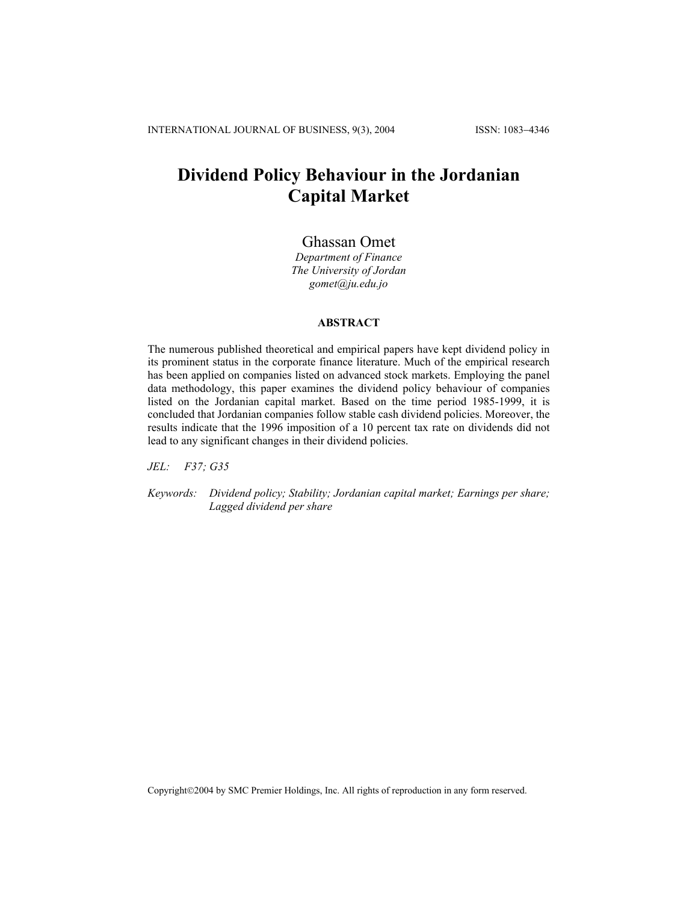# **Dividend Policy Behaviour in the Jordanian Capital Market**

# Ghassan Omet

*Department of Finance The University of Jordan [gomet@ju.edu.jo](mailto:gomet@ju.edu.jo)*

#### **ABSTRACT**

The numerous published theoretical and empirical papers have kept dividend policy in its prominent status in the corporate finance literature. Much of the empirical research has been applied on companies listed on advanced stock markets. Employing the panel data methodology, this paper examines the dividend policy behaviour of companies listed on the Jordanian capital market. Based on the time period 1985-1999, it is concluded that Jordanian companies follow stable cash dividend policies. Moreover, the results indicate that the 1996 imposition of a 10 percent tax rate on dividends did not lead to any significant changes in their dividend policies.

*JEL: F37; G35* 

*Keywords: Dividend policy; Stability; Jordanian capital market; Earnings per share; Lagged dividend per share* 

Copyright©2004 by SMC Premier Holdings, Inc. All rights of reproduction in any form reserved.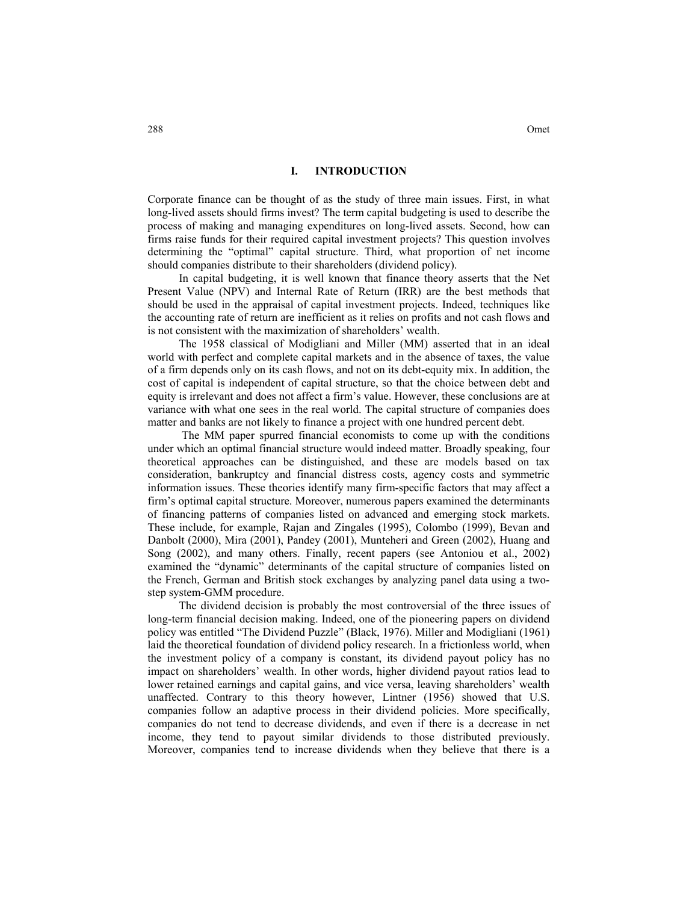#### **I. INTRODUCTION**

Corporate finance can be thought of as the study of three main issues. First, in what long-lived assets should firms invest? The term capital budgeting is used to describe the process of making and managing expenditures on long-lived assets. Second, how can firms raise funds for their required capital investment projects? This question involves determining the "optimal" capital structure. Third, what proportion of net income should companies distribute to their shareholders (dividend policy).

In capital budgeting, it is well known that finance theory asserts that the Net Present Value (NPV) and Internal Rate of Return (IRR) are the best methods that should be used in the appraisal of capital investment projects. Indeed, techniques like the accounting rate of return are inefficient as it relies on profits and not cash flows and is not consistent with the maximization of shareholders' wealth.

The 1958 classical of Modigliani and Miller (MM) asserted that in an ideal world with perfect and complete capital markets and in the absence of taxes, the value of a firm depends only on its cash flows, and not on its debt-equity mix. In addition, the cost of capital is independent of capital structure, so that the choice between debt and equity is irrelevant and does not affect a firm's value. However, these conclusions are at variance with what one sees in the real world. The capital structure of companies does matter and banks are not likely to finance a project with one hundred percent debt.

 The MM paper spurred financial economists to come up with the conditions under which an optimal financial structure would indeed matter. Broadly speaking, four theoretical approaches can be distinguished, and these are models based on tax consideration, bankruptcy and financial distress costs, agency costs and symmetric information issues. These theories identify many firm-specific factors that may affect a firm's optimal capital structure. Moreover, numerous papers examined the determinants of financing patterns of companies listed on advanced and emerging stock markets. These include, for example, Rajan and Zingales (1995), Colombo (1999), Bevan and Danbolt (2000), Mira (2001), Pandey (2001), Munteheri and Green (2002), Huang and Song (2002), and many others. Finally, recent papers (see Antoniou et al., 2002) examined the "dynamic" determinants of the capital structure of companies listed on the French, German and British stock exchanges by analyzing panel data using a twostep system-GMM procedure.

The dividend decision is probably the most controversial of the three issues of long-term financial decision making. Indeed, one of the pioneering papers on dividend policy was entitled "The Dividend Puzzle" (Black, 1976). Miller and Modigliani (1961) laid the theoretical foundation of dividend policy research. In a frictionless world, when the investment policy of a company is constant, its dividend payout policy has no impact on shareholders' wealth. In other words, higher dividend payout ratios lead to lower retained earnings and capital gains, and vice versa, leaving shareholders' wealth unaffected. Contrary to this theory however, Lintner (1956) showed that U.S. companies follow an adaptive process in their dividend policies. More specifically, companies do not tend to decrease dividends, and even if there is a decrease in net income, they tend to payout similar dividends to those distributed previously. Moreover, companies tend to increase dividends when they believe that there is a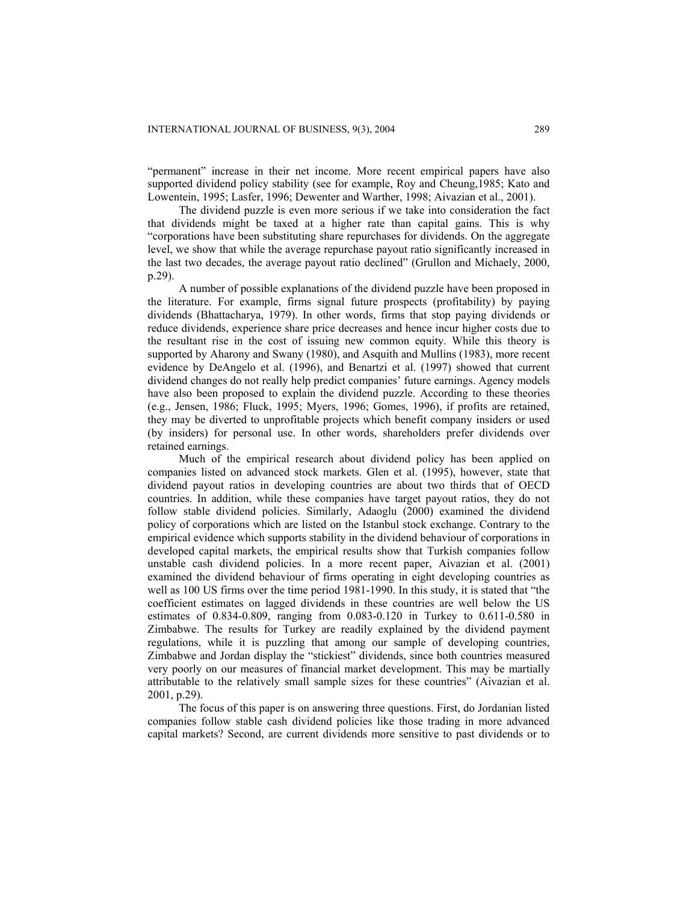"permanent" increase in their net income. More recent empirical papers have also supported dividend policy stability (see for example, Roy and Cheung,1985; Kato and Lowentein, 1995; Lasfer, 1996; Dewenter and Warther, 1998; Aivazian et al., 2001).

The dividend puzzle is even more serious if we take into consideration the fact that dividends might be taxed at a higher rate than capital gains. This is why "corporations have been substituting share repurchases for dividends. On the aggregate level, we show that while the average repurchase payout ratio significantly increased in the last two decades, the average payout ratio declined" (Grullon and Michaely, 2000, p.29).

A number of possible explanations of the dividend puzzle have been proposed in the literature. For example, firms signal future prospects (profitability) by paying dividends (Bhattacharya, 1979). In other words, firms that stop paying dividends or reduce dividends, experience share price decreases and hence incur higher costs due to the resultant rise in the cost of issuing new common equity. While this theory is supported by Aharony and Swany (1980), and Asquith and Mullins (1983), more recent evidence by DeAngelo et al. (1996), and Benartzi et al. (1997) showed that current dividend changes do not really help predict companies' future earnings. Agency models have also been proposed to explain the dividend puzzle. According to these theories (e.g., Jensen, 1986; Fluck, 1995; Myers, 1996; Gomes, 1996), if profits are retained, they may be diverted to unprofitable projects which benefit company insiders or used (by insiders) for personal use. In other words, shareholders prefer dividends over retained earnings.

Much of the empirical research about dividend policy has been applied on companies listed on advanced stock markets. Glen et al. (1995), however, state that dividend payout ratios in developing countries are about two thirds that of OECD countries. In addition, while these companies have target payout ratios, they do not follow stable dividend policies. Similarly, Adaoglu (2000) examined the dividend policy of corporations which are listed on the Istanbul stock exchange. Contrary to the empirical evidence which supports stability in the dividend behaviour of corporations in developed capital markets, the empirical results show that Turkish companies follow unstable cash dividend policies. In a more recent paper, Aivazian et al. (2001) examined the dividend behaviour of firms operating in eight developing countries as well as 100 US firms over the time period 1981-1990. In this study, it is stated that "the coefficient estimates on lagged dividends in these countries are well below the US estimates of 0.834-0.809, ranging from 0.083-0.120 in Turkey to 0.611-0.580 in Zimbabwe. The results for Turkey are readily explained by the dividend payment regulations, while it is puzzling that among our sample of developing countries, Zimbabwe and Jordan display the "stickiest" dividends, since both countries measured very poorly on our measures of financial market development. This may be martially attributable to the relatively small sample sizes for these countries" (Aivazian et al. 2001, p.29).

The focus of this paper is on answering three questions. First, do Jordanian listed companies follow stable cash dividend policies like those trading in more advanced capital markets? Second, are current dividends more sensitive to past dividends or to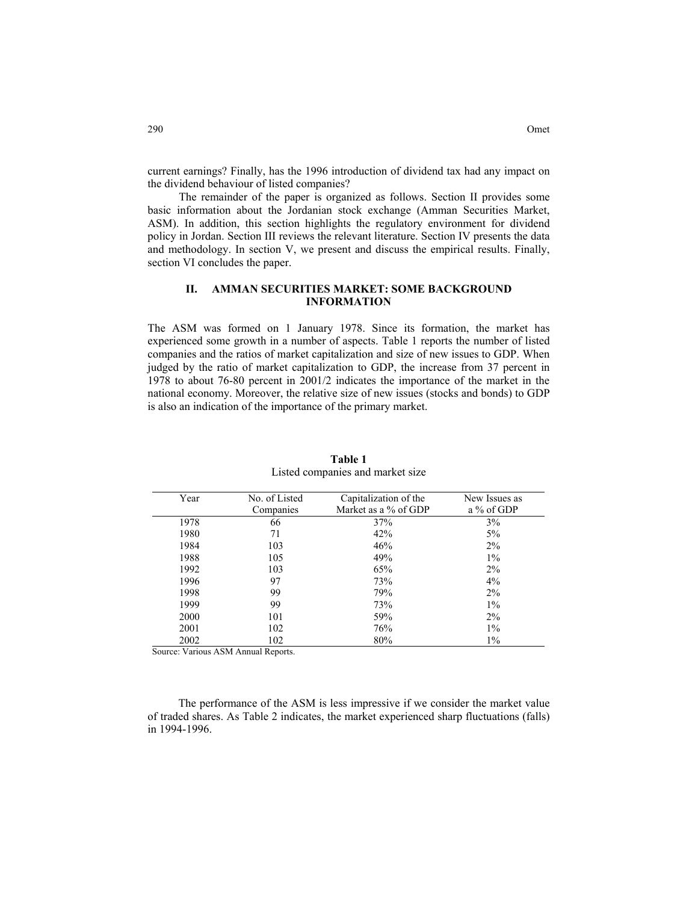current earnings? Finally, has the 1996 introduction of dividend tax had any impact on the dividend behaviour of listed companies?

The remainder of the paper is organized as follows. Section II provides some basic information about the Jordanian stock exchange (Amman Securities Market, ASM). In addition, this section highlights the regulatory environment for dividend policy in Jordan. Section III reviews the relevant literature. Section IV presents the data and methodology. In section V, we present and discuss the empirical results. Finally, section VI concludes the paper.

# **II. AMMAN SECURITIES MARKET: SOME BACKGROUND INFORMATION**

The ASM was formed on 1 January 1978. Since its formation, the market has experienced some growth in a number of aspects. Table 1 reports the number of listed companies and the ratios of market capitalization and size of new issues to GDP. When judged by the ratio of market capitalization to GDP, the increase from 37 percent in 1978 to about 76-80 percent in 2001/2 indicates the importance of the market in the national economy. Moreover, the relative size of new issues (stocks and bonds) to GDP is also an indication of the importance of the primary market.

| Year | No. of Listed | Capitalization of the | New Issues as |
|------|---------------|-----------------------|---------------|
|      | Companies     | Market as a % of GDP  | a % of GDP    |
| 1978 | 66            | 37%                   | 3%            |
| 1980 | 71            | 42%                   | 5%            |
| 1984 | 103           | 46%                   | $2\%$         |
| 1988 | 105           | 49%                   | $1\%$         |
| 1992 | 103           | 65%                   | $2\%$         |
| 1996 | 97            | 73%                   | 4%            |
| 1998 | 99            | 79%                   | $2\%$         |
| 1999 | 99            | 73%                   | $1\%$         |
| 2000 | 101           | 59%                   | $2\%$         |
| 2001 | 102           | 76%                   | $1\%$         |
| 2002 | 102           | 80%                   | $1\%$         |

**Table 1**  Listed companies and market size

Source: Various ASM Annual Reports.

The performance of the ASM is less impressive if we consider the market value of traded shares. As Table 2 indicates, the market experienced sharp fluctuations (falls) in 1994-1996.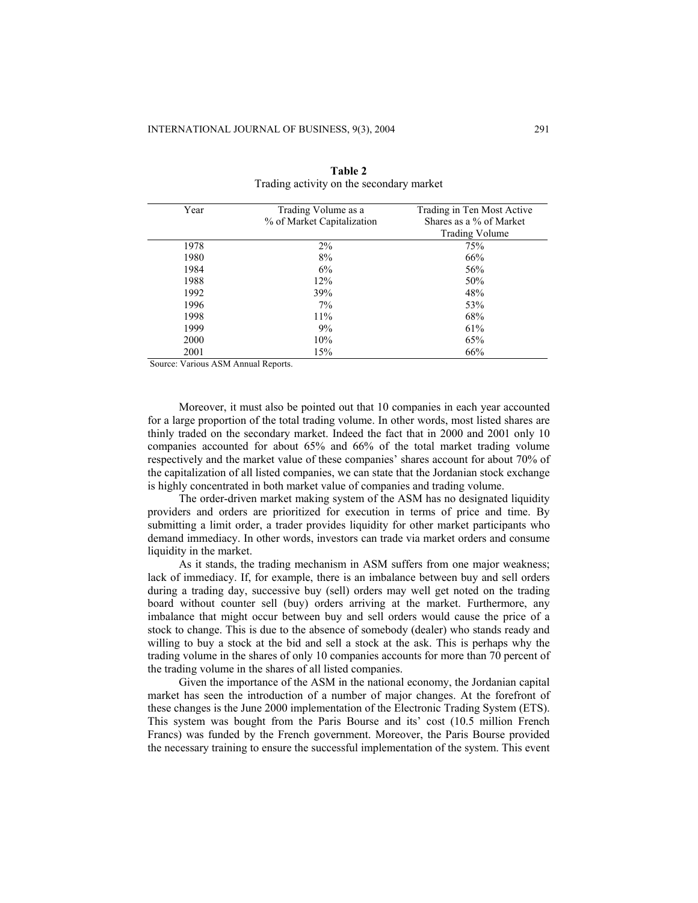| Year | Trading Volume as a        | Trading in Ten Most Active |
|------|----------------------------|----------------------------|
|      | % of Market Capitalization | Shares as a % of Market    |
|      |                            | <b>Trading Volume</b>      |
| 1978 | 2%                         | 75%                        |
| 1980 | 8%                         | 66%                        |
| 1984 | 6%                         | 56%                        |
| 1988 | 12%                        | 50%                        |
| 1992 | 39%                        | 48%                        |
| 1996 | $7\%$                      | 53%                        |
| 1998 | $11\%$                     | 68%                        |
| 1999 | 9%                         | 61%                        |
| 2000 | 10%                        | 65%                        |
| 2001 | 15%                        | 66%                        |

**Table 2** Trading activity on the secondary market

Source: Various ASM Annual Reports.

Moreover, it must also be pointed out that 10 companies in each year accounted for a large proportion of the total trading volume. In other words, most listed shares are thinly traded on the secondary market. Indeed the fact that in 2000 and 2001 only 10 companies accounted for about 65% and 66% of the total market trading volume respectively and the market value of these companies' shares account for about 70% of the capitalization of all listed companies, we can state that the Jordanian stock exchange is highly concentrated in both market value of companies and trading volume.

The order-driven market making system of the ASM has no designated liquidity providers and orders are prioritized for execution in terms of price and time. By submitting a limit order, a trader provides liquidity for other market participants who demand immediacy. In other words, investors can trade via market orders and consume liquidity in the market.

As it stands, the trading mechanism in ASM suffers from one major weakness; lack of immediacy. If, for example, there is an imbalance between buy and sell orders during a trading day, successive buy (sell) orders may well get noted on the trading board without counter sell (buy) orders arriving at the market. Furthermore, any imbalance that might occur between buy and sell orders would cause the price of a stock to change. This is due to the absence of somebody (dealer) who stands ready and willing to buy a stock at the bid and sell a stock at the ask. This is perhaps why the trading volume in the shares of only 10 companies accounts for more than 70 percent of the trading volume in the shares of all listed companies.

Given the importance of the ASM in the national economy, the Jordanian capital market has seen the introduction of a number of major changes. At the forefront of these changes is the June 2000 implementation of the Electronic Trading System (ETS). This system was bought from the Paris Bourse and its' cost (10.5 million French Francs) was funded by the French government. Moreover, the Paris Bourse provided the necessary training to ensure the successful implementation of the system. This event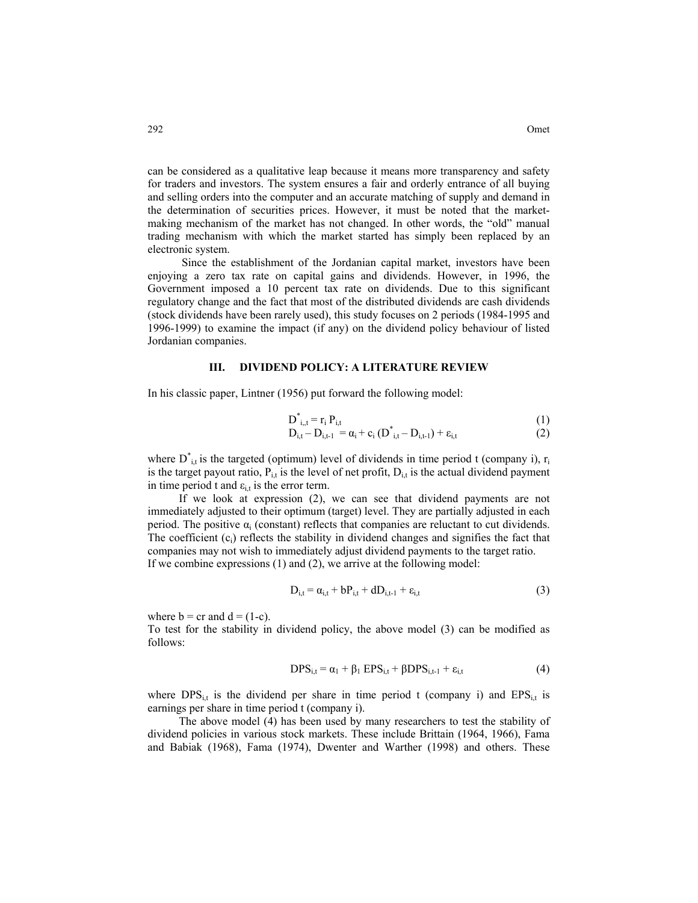can be considered as a qualitative leap because it means more transparency and safety for traders and investors. The system ensures a fair and orderly entrance of all buying and selling orders into the computer and an accurate matching of supply and demand in the determination of securities prices. However, it must be noted that the marketmaking mechanism of the market has not changed. In other words, the "old" manual trading mechanism with which the market started has simply been replaced by an electronic system.

 Since the establishment of the Jordanian capital market, investors have been enjoying a zero tax rate on capital gains and dividends. However, in 1996, the Government imposed a 10 percent tax rate on dividends. Due to this significant regulatory change and the fact that most of the distributed dividends are cash dividends (stock dividends have been rarely used), this study focuses on 2 periods (1984-1995 and 1996-1999) to examine the impact (if any) on the dividend policy behaviour of listed Jordanian companies.

#### **III. DIVIDEND POLICY: A LITERATURE REVIEW**

In his classic paper, Lintner (1956) put forward the following model:

$$
\overline{D}_{i,t}^* = r_i P_{i,t} \tag{1}
$$

$$
D_{i,t} - D_{i,t-1} = \alpha_i + c_i (D^*_{i,t} - D_{i,t-1}) + \varepsilon_{i,t}
$$
 (2)

where  $D^*_{i,t}$  is the targeted (optimum) level of dividends in time period t (company i),  $r_i$ is the target payout ratio,  $P_{i,t}$  is the level of net profit,  $D_{i,t}$  is the actual dividend payment in time period t and  $\varepsilon_{i,t}$  is the error term.

If we look at expression (2), we can see that dividend payments are not immediately adjusted to their optimum (target) level. They are partially adjusted in each period. The positive  $\alpha_i$  (constant) reflects that companies are reluctant to cut dividends. The coefficient  $(c_i)$  reflects the stability in dividend changes and signifies the fact that companies may not wish to immediately adjust dividend payments to the target ratio. If we combine expressions (1) and (2), we arrive at the following model:

$$
D_{i,t} = \alpha_{i,t} + bP_{i,t} + dD_{i,t-1} + \varepsilon_{i,t}
$$
 (3)

where  $b = cr$  and  $d = (1-c)$ .

To test for the stability in dividend policy, the above model (3) can be modified as follows:

$$
DPS_{i,t} = \alpha_1 + \beta_1 EPS_{i,t} + \beta DPS_{i,t-1} + \varepsilon_{i,t}
$$
 (4)

where  $DPS_{i,t}$  is the dividend per share in time period t (company i) and  $EPS_{i,t}$  is earnings per share in time period t (company i).

The above model (4) has been used by many researchers to test the stability of dividend policies in various stock markets. These include Brittain (1964, 1966), Fama and Babiak (1968), Fama (1974), Dwenter and Warther (1998) and others. These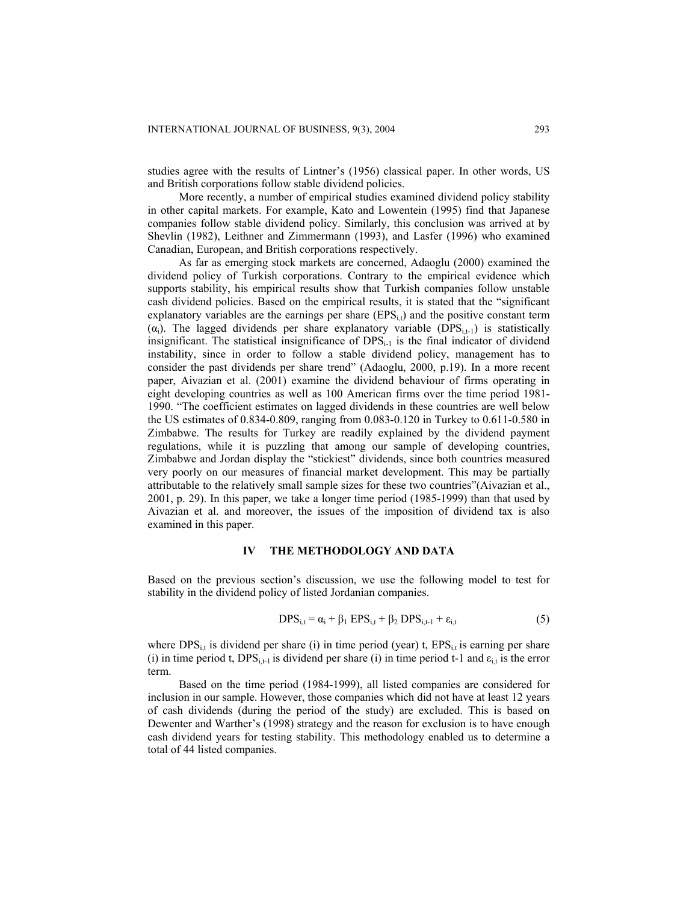studies agree with the results of Lintner's (1956) classical paper. In other words, US and British corporations follow stable dividend policies.

More recently, a number of empirical studies examined dividend policy stability in other capital markets. For example, Kato and Lowentein (1995) find that Japanese companies follow stable dividend policy. Similarly, this conclusion was arrived at by Shevlin (1982), Leithner and Zimmermann (1993), and Lasfer (1996) who examined Canadian, European, and British corporations respectively.

As far as emerging stock markets are concerned, Adaoglu (2000) examined the dividend policy of Turkish corporations. Contrary to the empirical evidence which supports stability, his empirical results show that Turkish companies follow unstable cash dividend policies. Based on the empirical results, it is stated that the "significant explanatory variables are the earnings per share  $(EPS_{it})$  and the positive constant term  $(\alpha_i)$ . The lagged dividends per share explanatory variable (DPS<sub>itt</sub>) is statistically insignificant. The statistical insignificance of  $DPS<sub>i-1</sub>$  is the final indicator of dividend instability, since in order to follow a stable dividend policy, management has to consider the past dividends per share trend" (Adaoglu, 2000, p.19). In a more recent paper, Aivazian et al. (2001) examine the dividend behaviour of firms operating in eight developing countries as well as 100 American firms over the time period 1981- 1990. "The coefficient estimates on lagged dividends in these countries are well below the US estimates of 0.834-0.809, ranging from 0.083-0.120 in Turkey to 0.611-0.580 in Zimbabwe. The results for Turkey are readily explained by the dividend payment regulations, while it is puzzling that among our sample of developing countries, Zimbabwe and Jordan display the "stickiest" dividends, since both countries measured very poorly on our measures of financial market development. This may be partially attributable to the relatively small sample sizes for these two countries"(Aivazian et al., 2001, p. 29). In this paper, we take a longer time period (1985-1999) than that used by Aivazian et al. and moreover, the issues of the imposition of dividend tax is also examined in this paper.

## **IV THE METHODOLOGY AND DATA**

Based on the previous section's discussion, we use the following model to test for stability in the dividend policy of listed Jordanian companies.

$$
DPS_{i,t} = \alpha_i + \beta_1 EPS_{i,t} + \beta_2 DPS_{i,t-1} + \varepsilon_{i,t}
$$
 (5)

where  $DPS_{i,t}$  is dividend per share (i) in time period (year) t,  $EPS_{i,t}$  is earning per share (i) in time period t,  $DPS<sub>i,t-1</sub>$  is dividend per share (i) in time period t-1 and  $\varepsilon<sub>i,t</sub>$  is the error term.

Based on the time period (1984-1999), all listed companies are considered for inclusion in our sample. However, those companies which did not have at least 12 years of cash dividends (during the period of the study) are excluded. This is based on Dewenter and Warther's (1998) strategy and the reason for exclusion is to have enough cash dividend years for testing stability. This methodology enabled us to determine a total of 44 listed companies.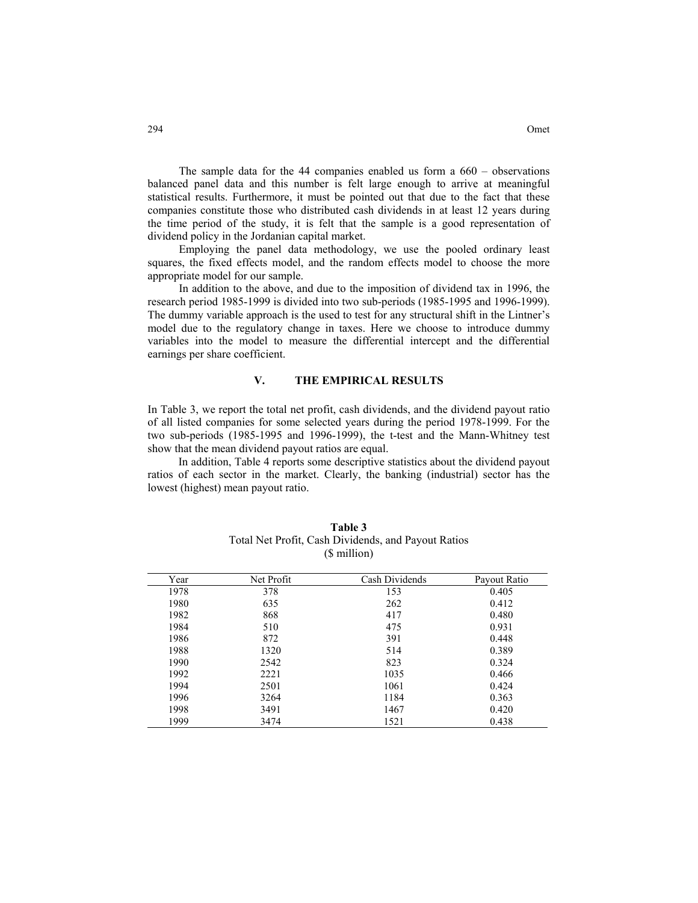The sample data for the 44 companies enabled us form a  $660 -$  observations balanced panel data and this number is felt large enough to arrive at meaningful statistical results. Furthermore, it must be pointed out that due to the fact that these companies constitute those who distributed cash dividends in at least 12 years during the time period of the study, it is felt that the sample is a good representation of dividend policy in the Jordanian capital market.

Employing the panel data methodology, we use the pooled ordinary least squares, the fixed effects model, and the random effects model to choose the more appropriate model for our sample.

In addition to the above, and due to the imposition of dividend tax in 1996, the research period 1985-1999 is divided into two sub-periods (1985-1995 and 1996-1999). The dummy variable approach is the used to test for any structural shift in the Lintner's model due to the regulatory change in taxes. Here we choose to introduce dummy variables into the model to measure the differential intercept and the differential earnings per share coefficient.

#### **V. THE EMPIRICAL RESULTS**

In Table 3, we report the total net profit, cash dividends, and the dividend payout ratio of all listed companies for some selected years during the period 1978-1999. For the two sub-periods (1985-1995 and 1996-1999), the t-test and the Mann-Whitney test show that the mean dividend payout ratios are equal.

In addition, Table 4 reports some descriptive statistics about the dividend payout ratios of each sector in the market. Clearly, the banking (industrial) sector has the lowest (highest) mean payout ratio.

| Year | Net Profit | Cash Dividends | Payout Ratio |
|------|------------|----------------|--------------|
| 1978 | 378        | 153            | 0.405        |
| 1980 | 635        | 262            | 0.412        |
| 1982 | 868        | 417            | 0.480        |
| 1984 | 510        | 475            | 0.931        |
| 1986 | 872        | 391            | 0.448        |
| 1988 | 1320       | 514            | 0.389        |
| 1990 | 2542       | 823            | 0.324        |
| 1992 | 2221       | 1035           | 0.466        |
| 1994 | 2501       | 1061           | 0.424        |
| 1996 | 3264       | 1184           | 0.363        |
| 1998 | 3491       | 1467           | 0.420        |
| 1999 | 3474       | 1521           | 0.438        |

| Table 3                                             |
|-----------------------------------------------------|
| Total Net Profit, Cash Dividends, and Payout Ratios |
| (\$ million)                                        |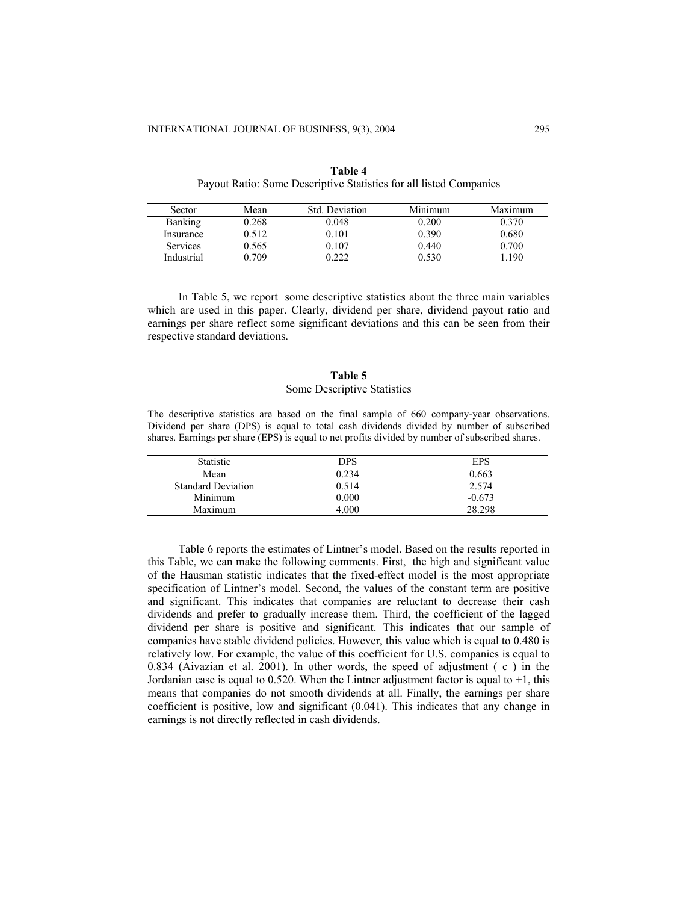| Sector         | Mean  | Std. Deviation | Minimum | Maximum |
|----------------|-------|----------------|---------|---------|
| <b>Banking</b> | 0.268 | 0.048          | 0.200   | 0.370   |
| Insurance      | 0.512 | 0.101          | 0.390   | 0.680   |
| Services       | 0.565 | 0.107          | 0.440   | 0.700   |
| Industrial     | 0.709 | 0.222          | 0.530   | 190     |

**Table 4** Payout Ratio: Some Descriptive Statistics for all listed Companies

In Table 5, we report some descriptive statistics about the three main variables which are used in this paper. Clearly, dividend per share, dividend payout ratio and earnings per share reflect some significant deviations and this can be seen from their respective standard deviations.

# **Table 5** Some Descriptive Statistics

The descriptive statistics are based on the final sample of 660 company-year observations. Dividend per share (DPS) is equal to total cash dividends divided by number of subscribed shares. Earnings per share (EPS) is equal to net profits divided by number of subscribed shares.

| Statistic                 | DPS   | <b>EPS</b> |
|---------------------------|-------|------------|
| Mean                      | 0.234 | 0.663      |
| <b>Standard Deviation</b> | 0.514 | 2.574      |
| Minimum                   | 0.000 | $-0.673$   |
| Maximum                   | 4.000 | 28.298     |
|                           |       |            |

Table 6 reports the estimates of Lintner's model. Based on the results reported in this Table, we can make the following comments. First, the high and significant value of the Hausman statistic indicates that the fixed-effect model is the most appropriate specification of Lintner's model. Second, the values of the constant term are positive and significant. This indicates that companies are reluctant to decrease their cash dividends and prefer to gradually increase them. Third, the coefficient of the lagged dividend per share is positive and significant. This indicates that our sample of companies have stable dividend policies. However, this value which is equal to 0.480 is relatively low. For example, the value of this coefficient for U.S. companies is equal to 0.834 (Aivazian et al. 2001). In other words, the speed of adjustment ( c ) in the Jordanian case is equal to 0.520. When the Lintner adjustment factor is equal to +1, this means that companies do not smooth dividends at all. Finally, the earnings per share coefficient is positive, low and significant (0.041). This indicates that any change in earnings is not directly reflected in cash dividends.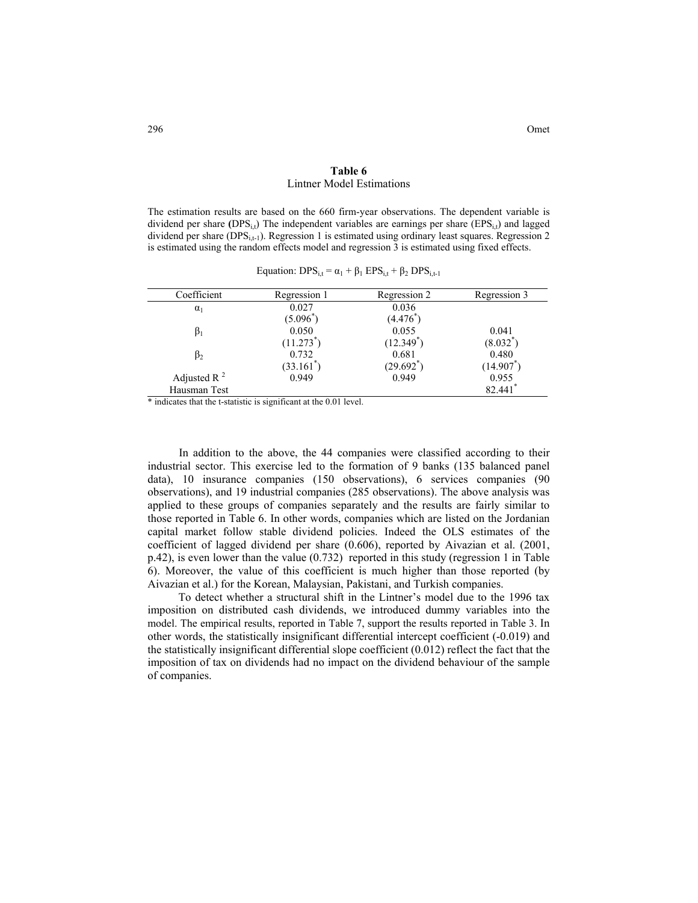## **Table 6**  Lintner Model Estimations

The estimation results are based on the 660 firm-year observations. The dependent variable is dividend per share (DPS<sub>i,t</sub>) The independent variables are earnings per share (EPS<sub>i,t</sub>) and lagged dividend per share ( $DPS_{i,t-1}$ ). Regression 1 is estimated using ordinary least squares. Regression 2 is estimated using the random effects model and regression 3 is estimated using fixed effects.

| Coefficient    | Regression 1 | Regression 2   | Regression 3 |
|----------------|--------------|----------------|--------------|
| $\alpha_1$     | 0.027        | 0.036          |              |
|                | $(5.096^*)$  | (4.476)        |              |
|                | 0.050        | 0.055          | 0.041        |
|                | $(11.273^*)$ | $(12.349^{*})$ | $(8.032^*)$  |
| $\beta_2$      | 0.732        | 0.681          | 0.480        |
|                | $(33.161^*)$ | $(29.692^*)$   | (14.907      |
| Adjusted R $2$ | 0.949        | 0.949          | 0.955        |
| Hausman Test   |              |                | 82.441       |

Equation:  $DPS_{i,t} = \alpha_1 + \beta_1 EPS_{i,t} + \beta_2 DPS_{i,t-1}$ 

\* indicates that the t-statistic is significant at the 0.01 level.

In addition to the above, the 44 companies were classified according to their industrial sector. This exercise led to the formation of 9 banks (135 balanced panel data), 10 insurance companies (150 observations), 6 services companies (90 observations), and 19 industrial companies (285 observations). The above analysis was applied to these groups of companies separately and the results are fairly similar to those reported in Table 6. In other words, companies which are listed on the Jordanian capital market follow stable dividend policies. Indeed the OLS estimates of the coefficient of lagged dividend per share (0.606), reported by Aivazian et al. (2001, p.42), is even lower than the value (0.732) reported in this study (regression 1 in Table 6). Moreover, the value of this coefficient is much higher than those reported (by Aivazian et al.) for the Korean, Malaysian, Pakistani, and Turkish companies.

To detect whether a structural shift in the Lintner's model due to the 1996 tax imposition on distributed cash dividends, we introduced dummy variables into the model. The empirical results, reported in Table 7, support the results reported in Table 3. In other words, the statistically insignificant differential intercept coefficient (-0.019) and the statistically insignificant differential slope coefficient (0.012) reflect the fact that the imposition of tax on dividends had no impact on the dividend behaviour of the sample of companies.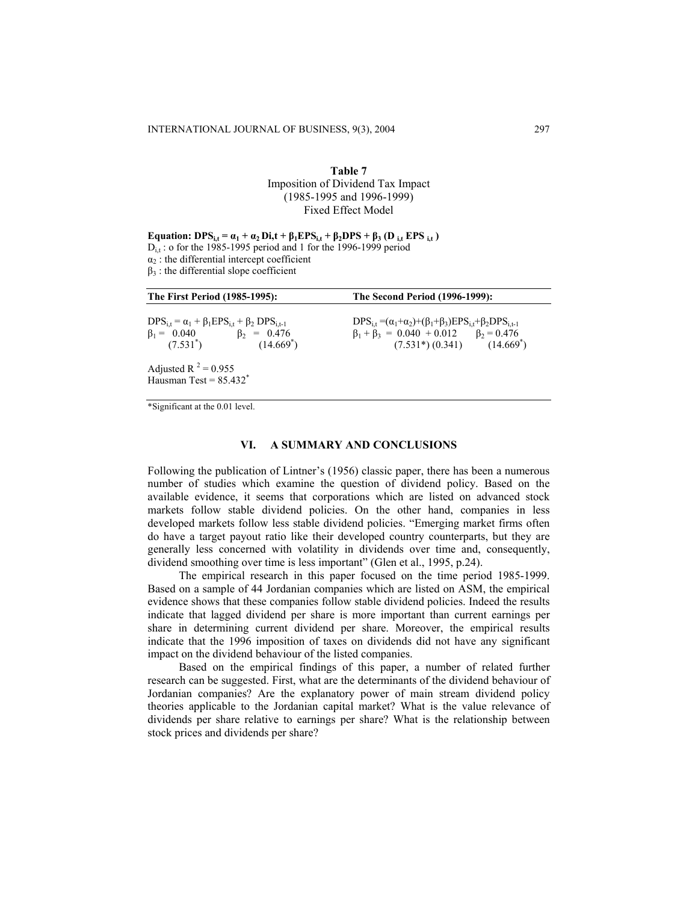# **Table 7** Imposition of Dividend Tax Impact (1985-1995 and 1996-1999) Fixed Effect Model

**Equation:**  $\text{DPS}_{i,t} = \alpha_1 + \alpha_2 \text{Di,t} + \beta_1 \text{EPS}_{i,t} + \beta_2 \text{DPS} + \beta_3 (\text{D}_{i,t} \text{EPS}_{i,t})$  $D_{i,t}$ : o for the 1985-1995 period and 1 for the 1996-1999 period  $\alpha_2$ : the differential intercept coefficient  $\beta_3$ : the differential slope coefficient

| The First Period (1985-1995):                                                                                                            | <b>The Second Period (1996-1999):</b>                                                                                                                                           |  |  |
|------------------------------------------------------------------------------------------------------------------------------------------|---------------------------------------------------------------------------------------------------------------------------------------------------------------------------------|--|--|
| $DPS_{i,t} = \alpha_1 + \beta_1 EPS_{i,t} + \beta_2 DPS_{i,t-1}$<br>$\beta_1 = 0.040$ $\beta_2 = 0.476$<br>$(14.669^*)$<br>$(7.531^{*})$ | $DPS_{i} = (\alpha_1 + \alpha_2) + (\beta_1 + \beta_3) EPS_{i} + \beta_2 DPS_{i+1}$<br>$\beta_1 + \beta_3 = 0.040 + 0.012$ $\beta_2 = 0.476$<br>$(7.531^*)(0.341)$ $(14.669^*)$ |  |  |
| Adjusted R <sup>2</sup> = 0.955<br>Hausman Test = $85.432$ <sup>*</sup>                                                                  |                                                                                                                                                                                 |  |  |

\*Significant at the 0.01 level.

#### **VI. A SUMMARY AND CONCLUSIONS**

Following the publication of Lintner's (1956) classic paper, there has been a numerous number of studies which examine the question of dividend policy. Based on the available evidence, it seems that corporations which are listed on advanced stock markets follow stable dividend policies. On the other hand, companies in less developed markets follow less stable dividend policies. "Emerging market firms often do have a target payout ratio like their developed country counterparts, but they are generally less concerned with volatility in dividends over time and, consequently, dividend smoothing over time is less important" (Glen et al., 1995, p.24).

The empirical research in this paper focused on the time period 1985-1999. Based on a sample of 44 Jordanian companies which are listed on ASM, the empirical evidence shows that these companies follow stable dividend policies. Indeed the results indicate that lagged dividend per share is more important than current earnings per share in determining current dividend per share. Moreover, the empirical results indicate that the 1996 imposition of taxes on dividends did not have any significant impact on the dividend behaviour of the listed companies.

Based on the empirical findings of this paper, a number of related further research can be suggested. First, what are the determinants of the dividend behaviour of Jordanian companies? Are the explanatory power of main stream dividend policy theories applicable to the Jordanian capital market? What is the value relevance of dividends per share relative to earnings per share? What is the relationship between stock prices and dividends per share?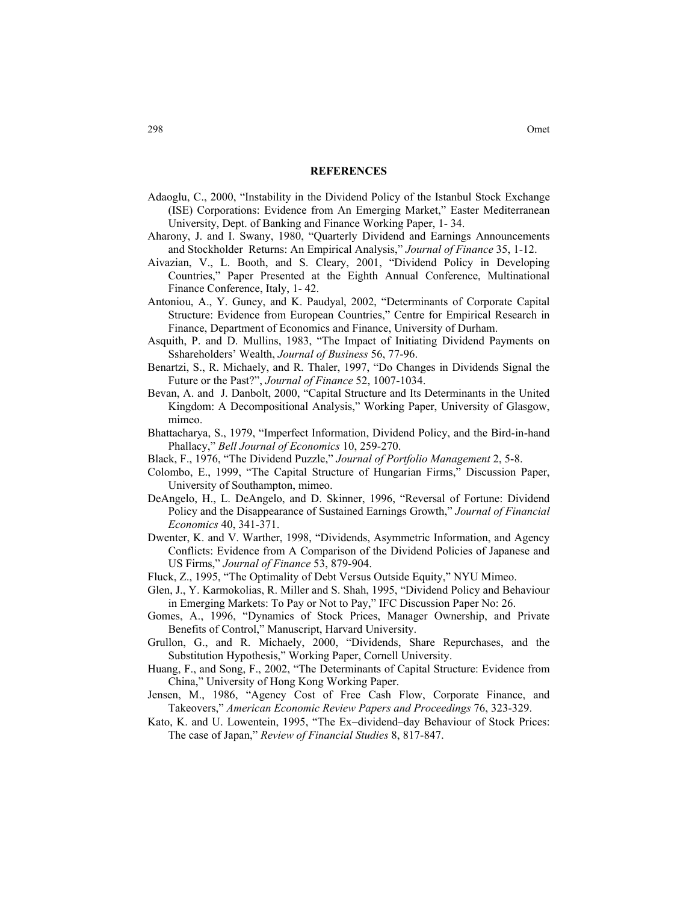#### **REFERENCES**

- Adaoglu, C., 2000, "Instability in the Dividend Policy of the Istanbul Stock Exchange (ISE) Corporations: Evidence from An Emerging Market," Easter Mediterranean University, Dept. of Banking and Finance Working Paper, 1- 34.
- Aharony, J. and I. Swany, 1980, "Quarterly Dividend and Earnings Announcements and Stockholder Returns: An Empirical Analysis," *Journal of Finance* 35, 1-12.
- Aivazian, V., L. Booth, and S. Cleary, 2001, "Dividend Policy in Developing Countries," Paper Presented at the Eighth Annual Conference, Multinational Finance Conference, Italy, 1- 42.
- Antoniou, A., Y. Guney, and K. Paudyal, 2002, "Determinants of Corporate Capital Structure: Evidence from European Countries," Centre for Empirical Research in Finance, Department of Economics and Finance, University of Durham.
- Asquith, P. and D. Mullins, 1983, "The Impact of Initiating Dividend Payments on Sshareholders' Wealth, *Journal of Business* 56, 77-96.
- Benartzi, S., R. Michaely, and R. Thaler, 1997, "Do Changes in Dividends Signal the Future or the Past?", *Journal of Finance* 52, 1007-1034.
- Bevan, A. and J. Danbolt, 2000, "Capital Structure and Its Determinants in the United Kingdom: A Decompositional Analysis," Working Paper, University of Glasgow, mimeo.
- Bhattacharya, S., 1979, "Imperfect Information, Dividend Policy, and the Bird-in-hand Phallacy," *Bell Journal of Economics* 10, 259-270.
- Black, F., 1976, "The Dividend Puzzle," *Journal of Portfolio Management* 2, 5-8.
- Colombo, E., 1999, "The Capital Structure of Hungarian Firms," Discussion Paper, University of Southampton, mimeo.
- DeAngelo, H., L. DeAngelo, and D. Skinner, 1996, "Reversal of Fortune: Dividend Policy and the Disappearance of Sustained Earnings Growth," *Journal of Financial Economics* 40, 341-371.
- Dwenter, K. and V. Warther, 1998, "Dividends, Asymmetric Information, and Agency Conflicts: Evidence from A Comparison of the Dividend Policies of Japanese and US Firms," *Journal of Finance* 53, 879-904.
- Fluck, Z., 1995, "The Optimality of Debt Versus Outside Equity," NYU Mimeo.
- Glen, J., Y. Karmokolias, R. Miller and S. Shah, 1995, "Dividend Policy and Behaviour in Emerging Markets: To Pay or Not to Pay," IFC Discussion Paper No: 26.
- Gomes, A., 1996, "Dynamics of Stock Prices, Manager Ownership, and Private Benefits of Control," Manuscript, Harvard University.
- Grullon, G., and R. Michaely, 2000, "Dividends, Share Repurchases, and the Substitution Hypothesis," Working Paper, Cornell University.
- Huang, F., and Song, F., 2002, "The Determinants of Capital Structure: Evidence from China," University of Hong Kong Working Paper.
- Jensen, M., 1986, "Agency Cost of Free Cash Flow, Corporate Finance, and Takeovers," *American Economic Review Papers and Proceedings* 76, 323-329.
- Kato, K. and U. Lowentein, 1995, "The Ex−dividend–day Behaviour of Stock Prices: The case of Japan," *Review of Financial Studies* 8, 817-847.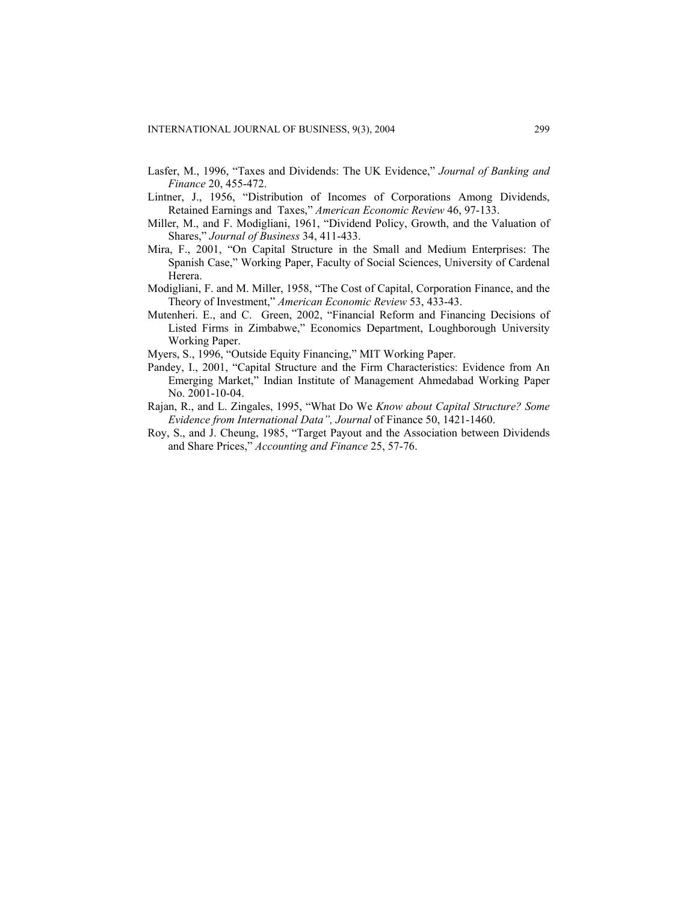- Lasfer, M., 1996, "Taxes and Dividends: The UK Evidence," *Journal of Banking and Finance* 20, 455-472.
- Lintner, J., 1956, "Distribution of Incomes of Corporations Among Dividends, Retained Earnings and Taxes," *American Economic Review* 46, 97-133.
- Miller, M., and F. Modigliani, 1961, "Dividend Policy, Growth, and the Valuation of Shares," *Journal of Business* 34, 411-433.
- Mira, F., 2001, "On Capital Structure in the Small and Medium Enterprises: The Spanish Case," Working Paper, Faculty of Social Sciences, University of Cardenal Herera.
- Modigliani, F. and M. Miller, 1958, "The Cost of Capital, Corporation Finance, and the Theory of Investment," *American Economic Review* 53, 433-43.
- Mutenheri. E., and C. Green, 2002, "Financial Reform and Financing Decisions of Listed Firms in Zimbabwe," Economics Department, Loughborough University Working Paper.
- Myers, S., 1996, "Outside Equity Financing," MIT Working Paper.
- Pandey, I., 2001, "Capital Structure and the Firm Characteristics: Evidence from An Emerging Market," Indian Institute of Management Ahmedabad Working Paper No. 2001-10-04.
- Rajan, R., and L. Zingales, 1995, "What Do We *Know about Capital Structure? Some Evidence from International Data", Journal* of Finance 50, 1421-1460.
- Roy, S., and J. Cheung, 1985, "Target Payout and the Association between Dividends and Share Prices," *Accounting and Finance* 25, 57-76.